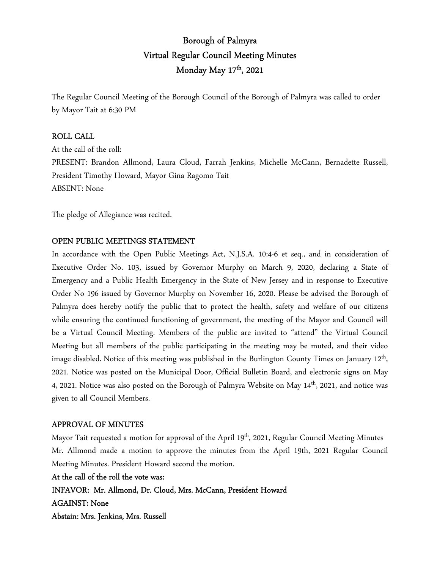# Borough of Palmyra Virtual Regular Council Meeting Minutes Monday May 17<sup>th</sup>, 2021

The Regular Council Meeting of the Borough Council of the Borough of Palmyra was called to order by Mayor Tait at 6:30 PM

#### ROLL CALL

At the call of the roll: PRESENT: Brandon Allmond, Laura Cloud, Farrah Jenkins, Michelle McCann, Bernadette Russell, President Timothy Howard, Mayor Gina Ragomo Tait ABSENT: None

The pledge of Allegiance was recited.

### OPEN PUBLIC MEETINGS STATEMENT

In accordance with the Open Public Meetings Act, N.J.S.A. 10:4-6 et seq., and in consideration of Executive Order No. 103, issued by Governor Murphy on March 9, 2020, declaring a State of Emergency and a Public Health Emergency in the State of New Jersey and in response to Executive Order No 196 issued by Governor Murphy on November 16, 2020. Please be advised the Borough of Palmyra does hereby notify the public that to protect the health, safety and welfare of our citizens while ensuring the continued functioning of government, the meeting of the Mayor and Council will be a Virtual Council Meeting. Members of the public are invited to "attend" the Virtual Council Meeting but all members of the public participating in the meeting may be muted, and their video image disabled. Notice of this meeting was published in the Burlington County Times on January 12<sup>th</sup>, 2021. Notice was posted on the Municipal Door, Official Bulletin Board, and electronic signs on May 4, 2021. Notice was also posted on the Borough of Palmyra Website on May 14<sup>th</sup>, 2021, and notice was given to all Council Members.

#### APPROVAL OF MINUTES

Mayor Tait requested a motion for approval of the April 19<sup>th</sup>, 2021, Regular Council Meeting Minutes Mr. Allmond made a motion to approve the minutes from the April 19th, 2021 Regular Council Meeting Minutes. President Howard second the motion.

At the call of the roll the vote was: INFAVOR: Mr. Allmond, Dr. Cloud, Mrs. McCann, President Howard AGAINST: None Abstain: Mrs. Jenkins, Mrs. Russell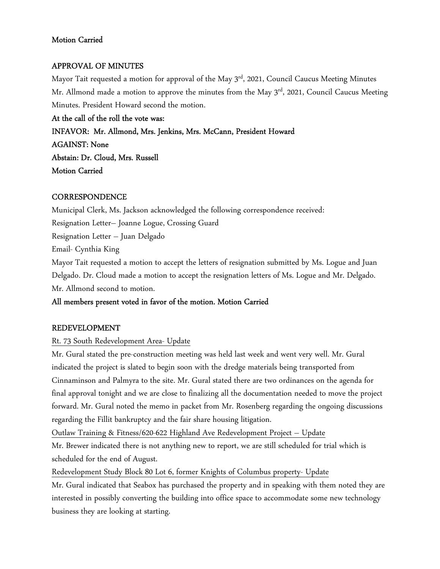### Motion Carried

### APPROVAL OF MINUTES

Mayor Tait requested a motion for approval of the May 3<sup>rd</sup>, 2021, Council Caucus Meeting Minutes Mr. Allmond made a motion to approve the minutes from the May 3<sup>rd</sup>, 2021, Council Caucus Meeting Minutes. President Howard second the motion.

At the call of the roll the vote was:

INFAVOR: Mr. Allmond, Mrs. Jenkins, Mrs. McCann, President Howard

AGAINST: None Abstain: Dr. Cloud, Mrs. Russell

Motion Carried

## **CORRESPONDENCE**

Municipal Clerk, Ms. Jackson acknowledged the following correspondence received:

Resignation Letter– Joanne Logue, Crossing Guard

Resignation Letter – Juan Delgado

Email- Cynthia King

Mayor Tait requested a motion to accept the letters of resignation submitted by Ms. Logue and Juan Delgado. Dr. Cloud made a motion to accept the resignation letters of Ms. Logue and Mr. Delgado. Mr. Allmond second to motion.

## All members present voted in favor of the motion. Motion Carried

## REDEVELOPMENT

## Rt. 73 South Redevelopment Area- Update

Mr. Gural stated the pre-construction meeting was held last week and went very well. Mr. Gural indicated the project is slated to begin soon with the dredge materials being transported from Cinnaminson and Palmyra to the site. Mr. Gural stated there are two ordinances on the agenda for final approval tonight and we are close to finalizing all the documentation needed to move the project forward. Mr. Gural noted the memo in packet from Mr. Rosenberg regarding the ongoing discussions regarding the Fillit bankruptcy and the fair share housing litigation.

Outlaw Training & Fitness/620-622 Highland Ave Redevelopment Project – Update

Mr. Brewer indicated there is not anything new to report, we are still scheduled for trial which is scheduled for the end of August.

Redevelopment Study Block 80 Lot 6, former Knights of Columbus property- Update

Mr. Gural indicated that Seabox has purchased the property and in speaking with them noted they are interested in possibly converting the building into office space to accommodate some new technology business they are looking at starting.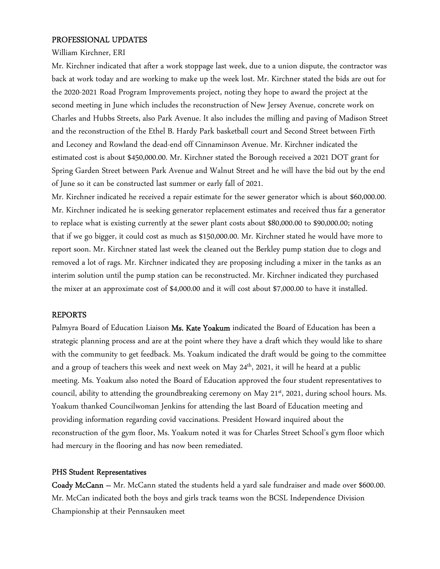#### PROFESSIONAL UPDATES

#### William Kirchner, ERI

Mr. Kirchner indicated that after a work stoppage last week, due to a union dispute, the contractor was back at work today and are working to make up the week lost. Mr. Kirchner stated the bids are out for the 2020-2021 Road Program Improvements project, noting they hope to award the project at the second meeting in June which includes the reconstruction of New Jersey Avenue, concrete work on Charles and Hubbs Streets, also Park Avenue. It also includes the milling and paving of Madison Street and the reconstruction of the Ethel B. Hardy Park basketball court and Second Street between Firth and Leconey and Rowland the dead-end off Cinnaminson Avenue. Mr. Kirchner indicated the estimated cost is about \$450,000.00. Mr. Kirchner stated the Borough received a 2021 DOT grant for Spring Garden Street between Park Avenue and Walnut Street and he will have the bid out by the end of June so it can be constructed last summer or early fall of 2021.

Mr. Kirchner indicated he received a repair estimate for the sewer generator which is about \$60,000.00. Mr. Kirchner indicated he is seeking generator replacement estimates and received thus far a generator to replace what is existing currently at the sewer plant costs about \$80,000.00 to \$90,000.00; noting that if we go bigger, it could cost as much as \$150,000.00. Mr. Kirchner stated he would have more to report soon. Mr. Kirchner stated last week the cleaned out the Berkley pump station due to clogs and removed a lot of rags. Mr. Kirchner indicated they are proposing including a mixer in the tanks as an interim solution until the pump station can be reconstructed. Mr. Kirchner indicated they purchased the mixer at an approximate cost of \$4,000.00 and it will cost about \$7,000.00 to have it installed.

#### REPORTS

Palmyra Board of Education Liaison Ms. Kate Yoakum indicated the Board of Education has been a strategic planning process and are at the point where they have a draft which they would like to share with the community to get feedback. Ms. Yoakum indicated the draft would be going to the committee and a group of teachers this week and next week on May 24<sup>th</sup>, 2021, it will he heard at a public meeting. Ms. Yoakum also noted the Board of Education approved the four student representatives to council, ability to attending the groundbreaking ceremony on May 21<sup>st</sup>, 2021, during school hours. Ms. Yoakum thanked Councilwoman Jenkins for attending the last Board of Education meeting and providing information regarding covid vaccinations. President Howard inquired about the reconstruction of the gym floor, Ms. Yoakum noted it was for Charles Street School's gym floor which had mercury in the flooring and has now been remediated.

#### PHS Student Representatives

Coady McCann – Mr. McCann stated the students held a yard sale fundraiser and made over \$600.00. Mr. McCan indicated both the boys and girls track teams won the BCSL Independence Division Championship at their Pennsauken meet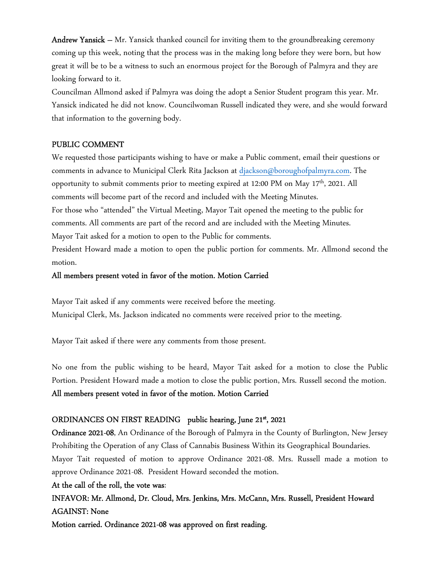**Andrew Yansick** – Mr. Yansick thanked council for inviting them to the groundbreaking ceremony coming up this week, noting that the process was in the making long before they were born, but how great it will be to be a witness to such an enormous project for the Borough of Palmyra and they are looking forward to it.

Councilman Allmond asked if Palmyra was doing the adopt a Senior Student program this year. Mr. Yansick indicated he did not know. Councilwoman Russell indicated they were, and she would forward that information to the governing body.

### PUBLIC COMMENT

We requested those participants wishing to have or make a Public comment, email their questions or comments in advance to Municipal Clerk Rita Jackson at djackson@boroughofpalmyra.com. The opportunity to submit comments prior to meeting expired at 12:00 PM on May 17<sup>th</sup>, 2021. All comments will become part of the record and included with the Meeting Minutes. For those who "attended" the Virtual Meeting, Mayor Tait opened the meeting to the public for

comments. All comments are part of the record and are included with the Meeting Minutes. Mayor Tait asked for a motion to open to the Public for comments.

President Howard made a motion to open the public portion for comments. Mr. Allmond second the motion.

### All members present voted in favor of the motion. Motion Carried

Mayor Tait asked if any comments were received before the meeting. Municipal Clerk, Ms. Jackson indicated no comments were received prior to the meeting.

Mayor Tait asked if there were any comments from those present.

No one from the public wishing to be heard, Mayor Tait asked for a motion to close the Public Portion. President Howard made a motion to close the public portion, Mrs. Russell second the motion.

#### All members present voted in favor of the motion. Motion Carried

## ORDINANCES ON FIRST READING public hearing, June 21st, 2021

Ordinance 2021-08, An Ordinance of the Borough of Palmyra in the County of Burlington, New Jersey Prohibiting the Operation of any Class of Cannabis Business Within its Geographical Boundaries. Mayor Tait requested of motion to approve Ordinance 2021-08. Mrs. Russell made a motion to approve Ordinance 2021-08. President Howard seconded the motion.

#### At the call of the roll, the vote was:

INFAVOR: Mr. Allmond, Dr. Cloud, Mrs. Jenkins, Mrs. McCann, Mrs. Russell, President Howard AGAINST: None

Motion carried. Ordinance 2021-08 was approved on first reading.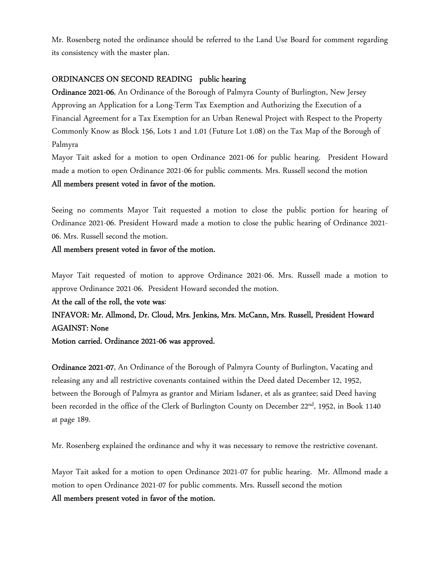Mr. Rosenberg noted the ordinance should be referred to the Land Use Board for comment regarding its consistency with the master plan.

#### ORDINANCES ON SECOND READING public hearing

Ordinance 2021-06, An Ordinance of the Borough of Palmyra County of Burlington, New Jersey Approving an Application for a Long-Term Tax Exemption and Authorizing the Execution of a Financial Agreement for a Tax Exemption for an Urban Renewal Project with Respect to the Property Commonly Know as Block 156, Lots 1 and 1.01 (Future Lot 1.08) on the Tax Map of the Borough of Palmyra

Mayor Tait asked for a motion to open Ordinance 2021-06 for public hearing. President Howard made a motion to open Ordinance 2021-06 for public comments. Mrs. Russell second the motion

#### All members present voted in favor of the motion.

Seeing no comments Mayor Tait requested a motion to close the public portion for hearing of Ordinance 2021-06. President Howard made a motion to close the public hearing of Ordinance 2021- 06. Mrs. Russell second the motion.

#### All members present voted in favor of the motion.

Mayor Tait requested of motion to approve Ordinance 2021-06. Mrs. Russell made a motion to approve Ordinance 2021-06. President Howard seconded the motion.

At the call of the roll, the vote was:

## INFAVOR: Mr. Allmond, Dr. Cloud, Mrs. Jenkins, Mrs. McCann, Mrs. Russell, President Howard AGAINST: None

Motion carried. Ordinance 2021-06 was approved.

Ordinance 2021-07, An Ordinance of the Borough of Palmyra County of Burlington, Vacating and releasing any and all restrictive covenants contained within the Deed dated December 12, 1952, between the Borough of Palmyra as grantor and Miriam Isdaner, et als as grantee; said Deed having been recorded in the office of the Clerk of Burlington County on December 22<sup>nd</sup>, 1952, in Book 1140 at page 189.

Mr. Rosenberg explained the ordinance and why it was necessary to remove the restrictive covenant.

Mayor Tait asked for a motion to open Ordinance 2021-07 for public hearing. Mr. Allmond made a motion to open Ordinance 2021-07 for public comments. Mrs. Russell second the motion All members present voted in favor of the motion.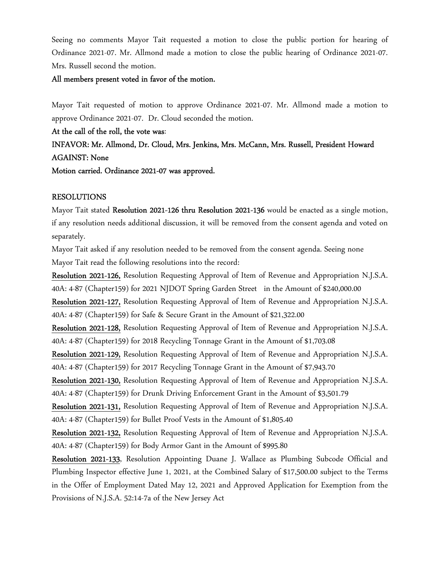Seeing no comments Mayor Tait requested a motion to close the public portion for hearing of Ordinance 2021-07. Mr. Allmond made a motion to close the public hearing of Ordinance 2021-07. Mrs. Russell second the motion.

#### All members present voted in favor of the motion.

Mayor Tait requested of motion to approve Ordinance 2021-07. Mr. Allmond made a motion to approve Ordinance 2021-07. Dr. Cloud seconded the motion.

At the call of the roll, the vote was:

INFAVOR: Mr. Allmond, Dr. Cloud, Mrs. Jenkins, Mrs. McCann, Mrs. Russell, President Howard AGAINST: None

Motion carried. Ordinance 2021-07 was approved.

#### RESOLUTIONS

Mayor Tait stated Resolution 2021-126 thru Resolution 2021-136 would be enacted as a single motion, if any resolution needs additional discussion, it will be removed from the consent agenda and voted on separately.

Mayor Tait asked if any resolution needed to be removed from the consent agenda. Seeing none Mayor Tait read the following resolutions into the record:

Resolution 2021-126, Resolution Requesting Approval of Item of Revenue and Appropriation N.J.S.A. 40A: 4-87 (Chapter159) for 2021 NJDOT Spring Garden Street in the Amount of \$240,000.00

Resolution 2021-127, Resolution Requesting Approval of Item of Revenue and Appropriation N.J.S.A. 40A: 4-87 (Chapter159) for Safe & Secure Grant in the Amount of \$21,322.00

Resolution 2021-128, Resolution Requesting Approval of Item of Revenue and Appropriation N.J.S.A. 40A: 4-87 (Chapter159) for 2018 Recycling Tonnage Grant in the Amount of \$1,703.08

Resolution 2021-129, Resolution Requesting Approval of Item of Revenue and Appropriation N.J.S.A. 40A: 4-87 (Chapter159) for 2017 Recycling Tonnage Grant in the Amount of \$7,943.70

Resolution 2021-130, Resolution Requesting Approval of Item of Revenue and Appropriation N.J.S.A. 40A: 4-87 (Chapter159) for Drunk Driving Enforcement Grant in the Amount of \$3,501.79

Resolution 2021-131, Resolution Requesting Approval of Item of Revenue and Appropriation N.J.S.A. 40A: 4-87 (Chapter159) for Bullet Proof Vests in the Amount of \$1,805.40

Resolution 2021-132, Resolution Requesting Approval of Item of Revenue and Appropriation N.J.S.A. 40A: 4-87 (Chapter159) for Body Armor Gant in the Amount of \$995.80

Resolution 2021-133, Resolution Appointing Duane J. Wallace as Plumbing Subcode Official and Plumbing Inspector effective June 1, 2021, at the Combined Salary of \$17,500.00 subject to the Terms in the Offer of Employment Dated May 12, 2021 and Approved Application for Exemption from the Provisions of N.J.S.A. 52:14-7a of the New Jersey Act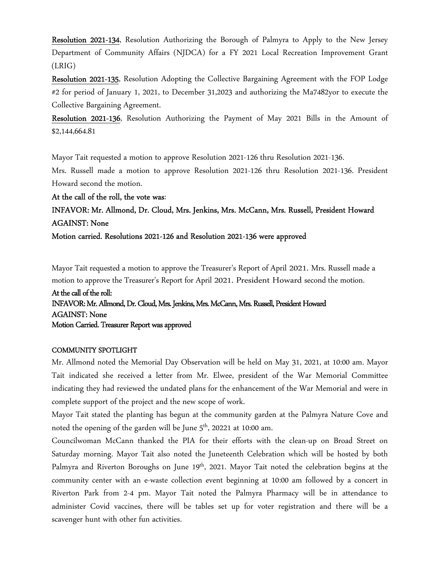Resolution 2021-134, Resolution Authorizing the Borough of Palmyra to Apply to the New Jersey Department of Community Affairs (NJDCA) for a FY 2021 Local Recreation Improvement Grant (LRIG)

Resolution 2021-135, Resolution Adopting the Collective Bargaining Agreement with the FOP Lodge #2 for period of January 1, 2021, to December 31,2023 and authorizing the Ma7482yor to execute the Collective Bargaining Agreement.

Resolution 2021-136, Resolution Authorizing the Payment of May 2021 Bills in the Amount of \$2,144,664.81

Mayor Tait requested a motion to approve Resolution 2021-126 thru Resolution 2021-136.

Mrs. Russell made a motion to approve Resolution 2021-126 thru Resolution 2021-136. President Howard second the motion.

At the call of the roll, the vote was:

## INFAVOR: Mr. Allmond, Dr. Cloud, Mrs. Jenkins, Mrs. McCann, Mrs. Russell, President Howard AGAINST: None

Motion carried. Resolutions 2021-126 and Resolution 2021-136 were approved

Mayor Tait requested a motion to approve the Treasurer's Report of April 2021. Mrs. Russell made a motion to approve the Treasurer's Report for April 2021. President Howard second the motion.

## At the call of the roll: INFAVOR: Mr. Allmond, Dr. Cloud, Mrs. Jenkins, Mrs. McCann, Mrs. Russell, President Howard AGAINST: None Motion Carried. Treasurer Report was approved

#### COMMUNITY SPOTLIGHT

Mr. Allmond noted the Memorial Day Observation will be held on May 31, 2021, at 10:00 am. Mayor Tait indicated she received a letter from Mr. Elwee, president of the War Memorial Committee indicating they had reviewed the undated plans for the enhancement of the War Memorial and were in complete support of the project and the new scope of work.

Mayor Tait stated the planting has begun at the community garden at the Palmyra Nature Cove and noted the opening of the garden will be June  $5<sup>th</sup>$ , 20221 at 10:00 am.

Councilwoman McCann thanked the PIA for their efforts with the clean-up on Broad Street on Saturday morning. Mayor Tait also noted the Juneteenth Celebration which will be hosted by both Palmyra and Riverton Boroughs on June 19<sup>th</sup>, 2021. Mayor Tait noted the celebration begins at the community center with an e-waste collection event beginning at 10:00 am followed by a concert in Riverton Park from 2-4 pm. Mayor Tait noted the Palmyra Pharmacy will be in attendance to administer Covid vaccines, there will be tables set up for voter registration and there will be a scavenger hunt with other fun activities.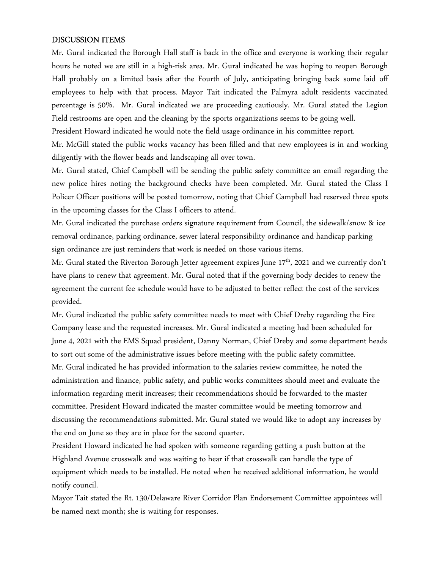#### DISCUSSION ITEMS

Mr. Gural indicated the Borough Hall staff is back in the office and everyone is working their regular hours he noted we are still in a high-risk area. Mr. Gural indicated he was hoping to reopen Borough Hall probably on a limited basis after the Fourth of July, anticipating bringing back some laid off employees to help with that process. Mayor Tait indicated the Palmyra adult residents vaccinated percentage is 50%. Mr. Gural indicated we are proceeding cautiously. Mr. Gural stated the Legion Field restrooms are open and the cleaning by the sports organizations seems to be going well.

President Howard indicated he would note the field usage ordinance in his committee report.

Mr. McGill stated the public works vacancy has been filled and that new employees is in and working diligently with the flower beads and landscaping all over town.

Mr. Gural stated, Chief Campbell will be sending the public safety committee an email regarding the new police hires noting the background checks have been completed. Mr. Gural stated the Class I Policer Officer positions will be posted tomorrow, noting that Chief Campbell had reserved three spots in the upcoming classes for the Class I officers to attend.

Mr. Gural indicated the purchase orders signature requirement from Council, the sidewalk/snow & ice removal ordinance, parking ordinance, sewer lateral responsibility ordinance and handicap parking sign ordinance are just reminders that work is needed on those various items.

Mr. Gural stated the Riverton Borough Jetter agreement expires June 17<sup>th</sup>, 2021 and we currently don't have plans to renew that agreement. Mr. Gural noted that if the governing body decides to renew the agreement the current fee schedule would have to be adjusted to better reflect the cost of the services provided.

Mr. Gural indicated the public safety committee needs to meet with Chief Dreby regarding the Fire Company lease and the requested increases. Mr. Gural indicated a meeting had been scheduled for June 4, 2021 with the EMS Squad president, Danny Norman, Chief Dreby and some department heads to sort out some of the administrative issues before meeting with the public safety committee. Mr. Gural indicated he has provided information to the salaries review committee, he noted the administration and finance, public safety, and public works committees should meet and evaluate the information regarding merit increases; their recommendations should be forwarded to the master committee. President Howard indicated the master committee would be meeting tomorrow and discussing the recommendations submitted. Mr. Gural stated we would like to adopt any increases by the end on June so they are in place for the second quarter.

President Howard indicated he had spoken with someone regarding getting a push button at the Highland Avenue crosswalk and was waiting to hear if that crosswalk can handle the type of equipment which needs to be installed. He noted when he received additional information, he would notify council.

Mayor Tait stated the Rt. 130/Delaware River Corridor Plan Endorsement Committee appointees will be named next month; she is waiting for responses.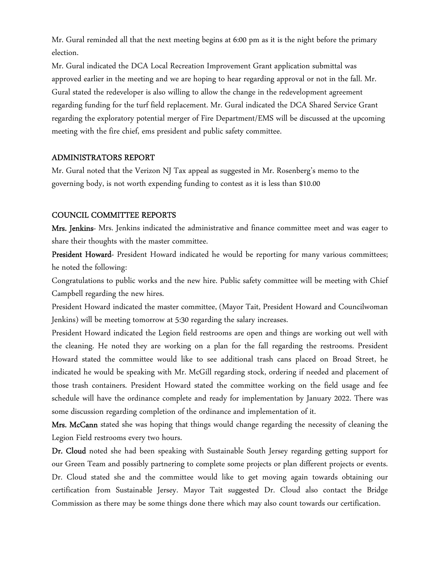Mr. Gural reminded all that the next meeting begins at 6:00 pm as it is the night before the primary election.

Mr. Gural indicated the DCA Local Recreation Improvement Grant application submittal was approved earlier in the meeting and we are hoping to hear regarding approval or not in the fall. Mr. Gural stated the redeveloper is also willing to allow the change in the redevelopment agreement regarding funding for the turf field replacement. Mr. Gural indicated the DCA Shared Service Grant regarding the exploratory potential merger of Fire Department/EMS will be discussed at the upcoming meeting with the fire chief, ems president and public safety committee.

#### ADMINISTRATORS REPORT

Mr. Gural noted that the Verizon NJ Tax appeal as suggested in Mr. Rosenberg's memo to the governing body, is not worth expending funding to contest as it is less than \$10.00

#### COUNCIL COMMITTEE REPORTS

Mrs. Jenkins- Mrs. Jenkins indicated the administrative and finance committee meet and was eager to share their thoughts with the master committee.

President Howard- President Howard indicated he would be reporting for many various committees; he noted the following:

Congratulations to public works and the new hire. Public safety committee will be meeting with Chief Campbell regarding the new hires.

President Howard indicated the master committee, (Mayor Tait, President Howard and Councilwoman Jenkins) will be meeting tomorrow at 5:30 regarding the salary increases.

President Howard indicated the Legion field restrooms are open and things are working out well with the cleaning. He noted they are working on a plan for the fall regarding the restrooms. President Howard stated the committee would like to see additional trash cans placed on Broad Street, he indicated he would be speaking with Mr. McGill regarding stock, ordering if needed and placement of those trash containers. President Howard stated the committee working on the field usage and fee schedule will have the ordinance complete and ready for implementation by January 2022. There was some discussion regarding completion of the ordinance and implementation of it.

Mrs. McCann stated she was hoping that things would change regarding the necessity of cleaning the Legion Field restrooms every two hours.

Dr. Cloud noted she had been speaking with Sustainable South Jersey regarding getting support for our Green Team and possibly partnering to complete some projects or plan different projects or events. Dr. Cloud stated she and the committee would like to get moving again towards obtaining our certification from Sustainable Jersey. Mayor Tait suggested Dr. Cloud also contact the Bridge Commission as there may be some things done there which may also count towards our certification.